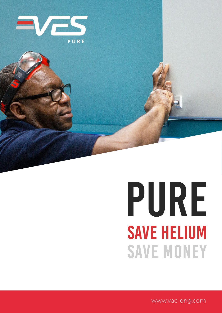

# PURE **SAVE HELIUM SAVE MONEY**

www.vac-eng.com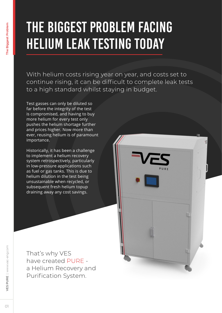### The Biggest Problem Facing Helium Leak Testing Today

With helium costs rising year on year, and costs set to continue rising, it can be difficult to complete leak tests to a high standard whilst staying in budget.

Test gasses can only be diluted so far before the integrity of the test is compromised, and having to buy more helium for every test only pushes the helium shortage further and prices higher. Now more than ever, reusing helium is of paramount importance.

Historically, it has been a challenge to implement a helium recovery system retrospectively, particularly in low-pressure applications such as fuel or gas tanks. This is due to helium dilution in the test being unsustainable when recycled, or subsequent fresh helium topup draining away any cost savings.

That's why VES have created PURE a Helium Recovery and Purification System.

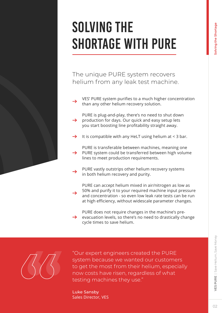### SOLVING THE SHORTAGE WITH PURE

The unique PURE system recovers helium from any leak test machine.

- VES' PURE system purifies to a much higher concentration than any other helium recovery solution.
- PURE is plug-and-play, there's no need to shut down  $\rightarrow$ production for days. Our quick and easy setup lets you start boosting line profitability straight away.
- It is compatible with any HeLT using helium at < 3 bar.

PURE is transferable between machines, meaning one PURE system could be transferred between high volume  $\rightarrow$ lines to meet production requirements.

- PURE vastly outstrips other helium recovery systems in both helium recovery and purity.
- PURE can accept helium mixed in air/nitrogen as low as 50% and purify it to your required machine input pressure and concentration - so even low leak rate tests can be run at high efficiency, without widescale parameter changes.

PURE does not require changes in the machine's preevacuation levels, so there's no need to drastically change  $\rightarrow$ cycle times to save helium.



"Our expert engineers created the PURE system because we wanted our customers to get the most from their helium, especially now costs have risen, regardless of what testing machines they use."

Luke Sansby Sales Director, VES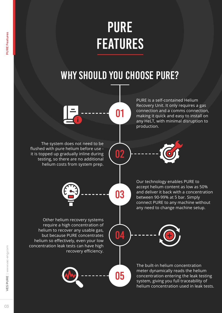### PURE FEATURES

### WHY SHOULD YOU CHOOSE PURE?

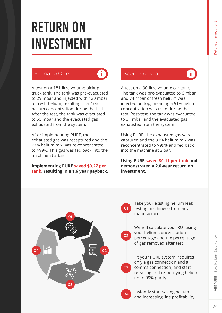$\ddot{\mathbf{i}}$ 

### RETURN ON INVESTMENT

A test on a 181-litre volume pickup truck tank. The tank was pre-evacuated to 29 mbar and injected with 120 mbar of fresh helium, resulting in a 77% helium concentration during the test. After the test, the tank was evacuated to 55 mbar and the evacuated gas exhausted from the system.

After implementing PURE, the exhausted gas was recaptured and the 77% helium mix was re-concentrated to >99%. This gas was fed back into the machine at 2 bar.

#### **Implementing PURE saved \$0.27 per tank, resulting in a 1.6 year payback.**

#### Scenario One **Contracts** Scenario Two

A test on a 90-litre volume car tank. The tank was pre-evacuated to 6 mbar, and 74 mbar of fresh helium was injected on top, meaning a 91% helium concentration was used during the test. Post-test, the tank was evacuated to 31 mbar and the evacuated gas exhausted from the system.

Using PURE, the exhausted gas was captured and the 91% helium mix was reconcentrated to >99% and fed back into the machine at 2 bar.

**Using PURE saved \$0.11 per tank and demonstrated a 2.0-year return on investment.**



01

 $02<sup>2</sup>$ 

03

04

Take your existing helium leak testing machine(s) from any manufacturer.

We will calculate your ROI using your helium concentration percentage and the percentage of gas removed after test.

Fit your PURE system (requires only a gas connection and a comms connection) and start recycling and re-purifying helium up to 99% purity.

Instantly start saving helium and increasing line profitability.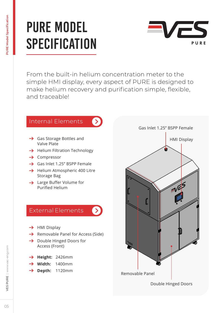### PURE MODEL **SPECIFICATION**



From the built-in helium concentration meter to the simple HMI display, every aspect of PURE is designed to make helium recovery and purification simple, flexible, and traceable!

 $\rightarrow$ 

#### Internal Elements

- $\rightarrow$  Gas Storage Bottles and Valve Plate
- $\rightarrow$  Helium Filtration Technology
- $\rightarrow$  Compressor
- → Gas Inlet 1.25" BSPP Female
- $\rightarrow$  Helium Atmospheric 400 Litre Storage Bag
- **→** Large Buffer Volume for Purified Helium

#### External Elements

- $\rightarrow$  HMI Display
- $\rightarrow$  Removable Panel for Access (Side)
- $\rightarrow$  Double Hinged Doors for Access (Front)
- → Height: 2426mm
- **Width:** 1400mm
- → Depth: 1120mm

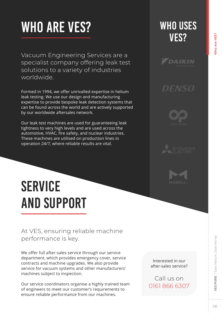## WHO ARE VES?

Vacuum Engineering Services are a specialist company offering leak test solutions to a variety of industries worldwide.

Formed in 1994, we offer unrivalled expertise in helium leak testing. We use our design and manufacturing expertise to provide bespoke leak detection systems that can be found across the world and are actively supported by our worldwide aftersales network.

Our leak test machines are used for guaranteeing leak tightness to very high levels and are used across the automotive, HVAC, fire safety, and nuclear industries. These machines are utilised on production lines in operation 24/7, where reliable results are vital.

### WHO USES VES?



*DENSO* 





### **SERVICE** AND SUPPORT

#### At VES, ensuring reliable machine performance is key.

We offer full after-sales service through our service department, which provides emergency cover, service contracts and machine upgrades. We also provide service for vacuum systems and other manufacturers' machines subject to inspection.

Our service coordinators organise a highly trained team of engineers to meet our customer's requirements to ensure reliable performance from our machines.

Interested in our after-sales service?

Call us on 0161 866 6307